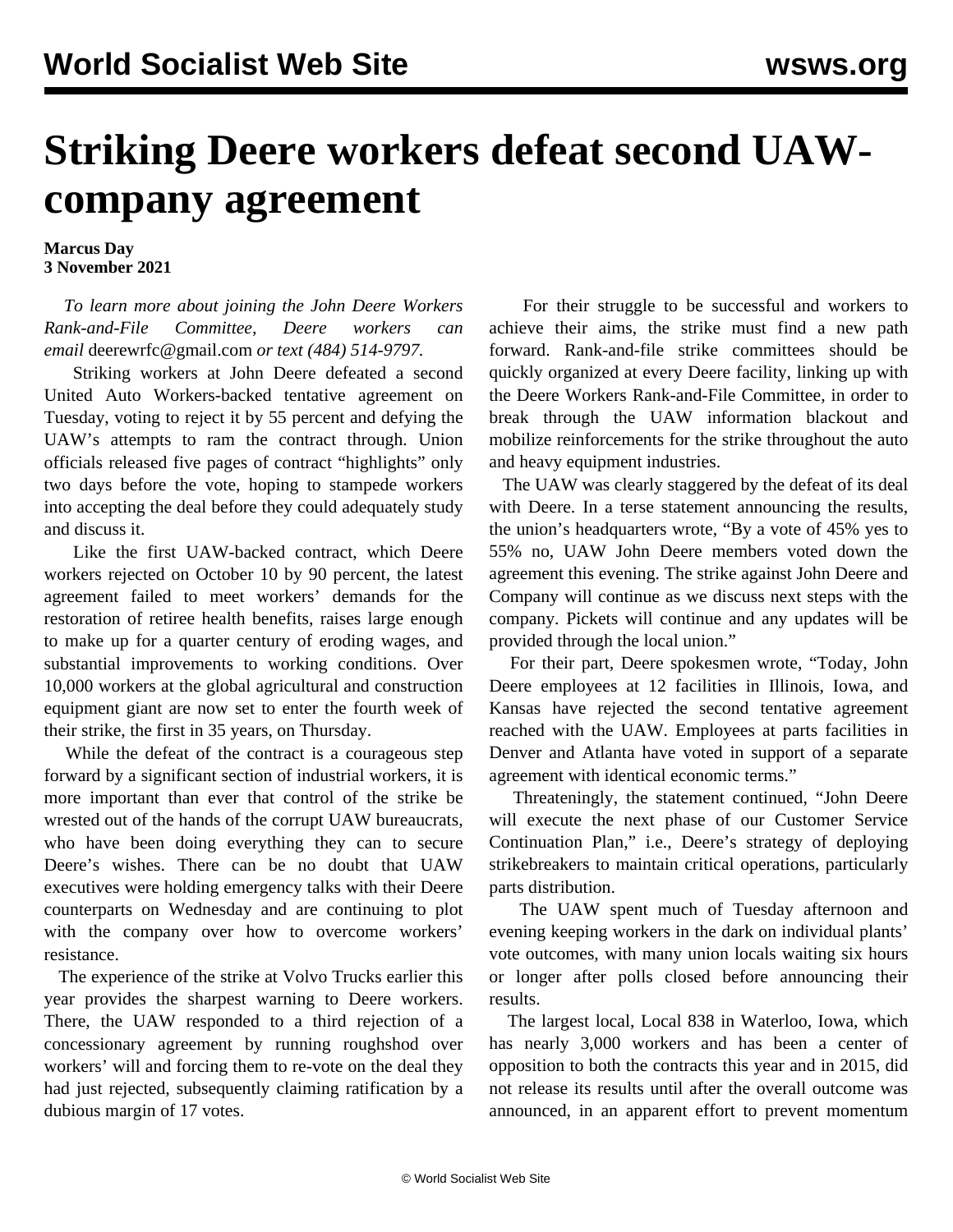## **Striking Deere workers defeat second UAWcompany agreement**

## **Marcus Day 3 November 2021**

 *To learn more about joining the John Deere Workers Rank-and-File Committee, Deere workers can email* [deerewrfc@gmail.com](mailto:deerewrfc@gmail.com) *or text (484) 514-9797.*

 Striking workers at John Deere defeated a second United Auto Workers-backed tentative agreement on Tuesday, voting to reject it by 55 percent and defying the UAW's attempts to ram the contract through. Union officials released five pages of contract "highlights" only two days before the vote, hoping to stampede workers into accepting the deal before they could adequately study and discuss it.

 Like the first UAW-backed contract, which Deere workers rejected on October 10 by 90 percent, the latest agreement failed to meet workers' demands for the restoration of retiree health benefits, raises large enough to make up for a quarter century of eroding wages, and substantial improvements to working conditions. Over 10,000 workers at the global agricultural and construction equipment giant are now set to enter the fourth week of their strike, the first in 35 years, on Thursday.

 While the defeat of the contract is a courageous step forward by a significant section of industrial workers, it is more important than ever that control of the strike be wrested out of the hands of the corrupt UAW bureaucrats, who have been doing everything they can to secure Deere's wishes. There can be no doubt that UAW executives were holding emergency talks with their Deere counterparts on Wednesday and are continuing to plot with the company over how to overcome workers' resistance.

 The experience of the [strike at Volvo Trucks](/en/articles/2021/07/15/volv-j15.html) earlier this year provides the sharpest warning to Deere workers. There, the UAW responded to a third rejection of a concessionary agreement by running roughshod over workers' will and forcing them to re-vote on the deal they had just rejected, subsequently claiming ratification by a dubious margin of 17 votes.

 For their struggle to be successful and workers to achieve their aims, the strike must find a new path forward. Rank-and-file strike committees should be quickly organized at every Deere facility, linking up with the [Deere Workers Rank-and-File Committee,](mailto:mailto:deerewrfc@gmail.com) in order to break through the UAW information blackout and mobilize reinforcements for the strike throughout the auto and heavy equipment industries.

 The UAW was clearly staggered by the defeat of its deal with Deere. In a terse statement announcing the results, the union's headquarters wrote, "By a vote of 45% yes to 55% no, UAW John Deere members voted down the agreement this evening. The strike against John Deere and Company will continue as we discuss next steps with the company. Pickets will continue and any updates will be provided through the local union."

 For their part, Deere spokesmen wrote, "Today, John Deere employees at 12 facilities in Illinois, Iowa, and Kansas have rejected the second tentative agreement reached with the UAW. Employees at parts facilities in Denver and Atlanta have voted in support of a separate agreement with identical economic terms."

 Threateningly, the statement continued, "John Deere will execute the next phase of our Customer Service Continuation Plan," i.e., Deere's strategy of deploying strikebreakers to maintain critical operations, particularly parts distribution.

 The UAW spent much of Tuesday afternoon and evening keeping workers in the dark on individual plants' vote outcomes, with many union locals waiting six hours or longer after polls closed before announcing their results.

 The largest local, Local 838 in Waterloo, Iowa, which has nearly 3,000 workers and has been a center of opposition to both the contracts this year and in 2015, did not release its results until after the overall outcome was announced, in an apparent effort to prevent momentum